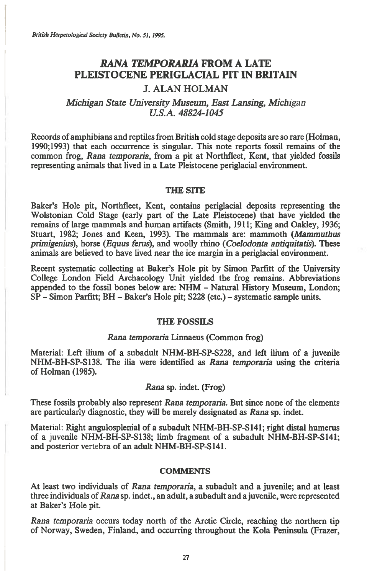*British Herpetological Society Bulletin, No. 51, 1995.* 

# *RANA TEMPORARIA* **FROM A LATE PLEISTOCENE PERIGLACIAL PIT IN BRITAIN**

# **J. ALAN HOLMAN**

## *Michigan State University Museum, East Lansing, Michigan U.S.A. 48824-1045*

**Records of amphibians and reptiles from British cold stage deposits are so rare (Holman, 1990;1993) that each occurrence is singular. This note reports fossil remains of the common frog,** *Rana temporaria,* **from a pit at Northfleet, Kent, that yielded fossils representing animals that lived in a Late Pleistocene periglacial environment.** 

#### **THE SITE**

**Baker's Hole pit, Northfleet, Kent, contains periglacial deposits representing the Wolstonian Cold Stage (early part of the Late Pleistocene) that have yielded the remains of large mammals and human artifacts (Smith, 1911; King and Oakley, 1936; Stuart, 1982; Jones and Keen, 1993). The mammals are: mammoth** *(Mammuthus primigenius),* **horse** *(Equus ferus),* **and woolly rhino** *(Coelodonta antiquitatis).* **These animals are believed to have lived near the ice margin in a periglacial environment.** 

**Recent systematic collecting at Baker's Hole pit by Simon Parfitt of the University College London Field Archaeology Unit yielded the frog remains. Abbreviations appended to the fossil bones below are: NHM - Natural History Museum, London; SP - Simon Parfitt; BH - Baker's Hole pit; S228 (etc.) - systematic sample units.** 

#### **THE FOSSILS**

#### *Rana temporaria* **Linnaeus (Common frog)**

**Material: Left ilium of a subadult NHM-BH-SP-S228, and left ilium of a juvenile NHM-BH-SP-S138. The ilia were identified as** *Rana temporaria* **using the criteria of Holman (1985).** 

### *Rana* **sp. indet. (Frog)**

**These fossils probably also represent** *Rana temporaria.* **But since none of the elements are particularly diagnostic, they will be merely designated as** *Rana* **sp. indet.** 

**Material: Right angulosplenial of a subadult NHM-BH-SP-S141; right distal humerus of a juvenile NHM-BH-SP-S138; limb fragment of a subadult NHM-BH-SP-5141; and posterior vertebra of an adult NHM-BH-SP-S141.** 

### **COMMENTS**

**At least two individuals of** *Rana temporaria,* **a subadult and a juvenile; and at least three individuals of** *Rana* **sp. indet., an adult, a subadult and a juvenile, were represented at Baker's Hole pit.** 

*Rana temporaria* **occurs today north of the Arctic Circle, reaching the northern tip of Norway, Sweden, Finland, and occurring throughout the Kola Peninsula (Frazer,**